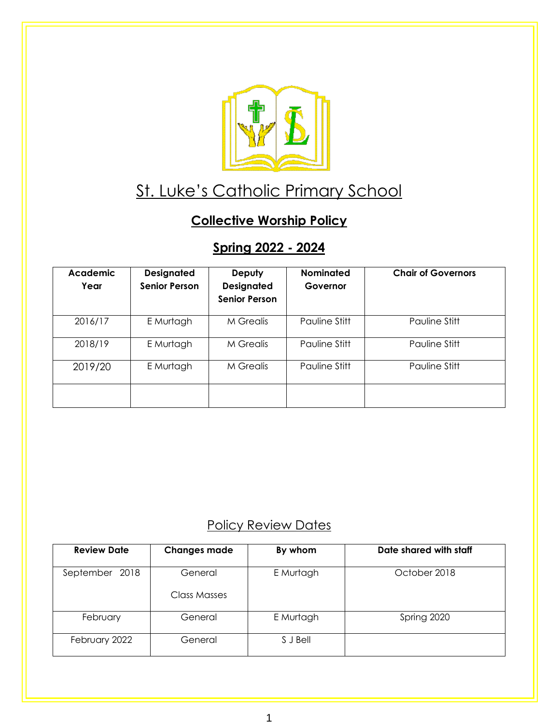

# St. Luke's Catholic Primary School

### **Collective Worship Policy**

## **Spring 2022 - 2024**

| <b>Academic</b><br>Year | <b>Designated</b><br><b>Senior Person</b> | Deputy<br><b>Designated</b><br><b>Senior Person</b> | <b>Nominated</b><br>Governor | <b>Chair of Governors</b> |
|-------------------------|-------------------------------------------|-----------------------------------------------------|------------------------------|---------------------------|
| 2016/17                 | E Murtagh                                 | M Grealis                                           | Pauline Stitt                | Pauline Stitt             |
| 2018/19                 | E Murtagh                                 | M Grealis                                           | Pauline Stitt                | Pauline Stitt             |
| 2019/20                 | E Murtagh                                 | M Grealis                                           | Pauline Stitt                | Pauline Stitt             |
|                         |                                           |                                                     |                              |                           |

### Policy Review Dates

| <b>Review Date</b> | <b>Changes made</b> | By whom   | Date shared with staff |
|--------------------|---------------------|-----------|------------------------|
| September<br>2018  | General             | E Murtagh | October 2018           |
|                    | Class Masses        |           |                        |
| February           | General             | E Murtagh | Spring 2020            |
| February 2022      | General             | S J Bell  |                        |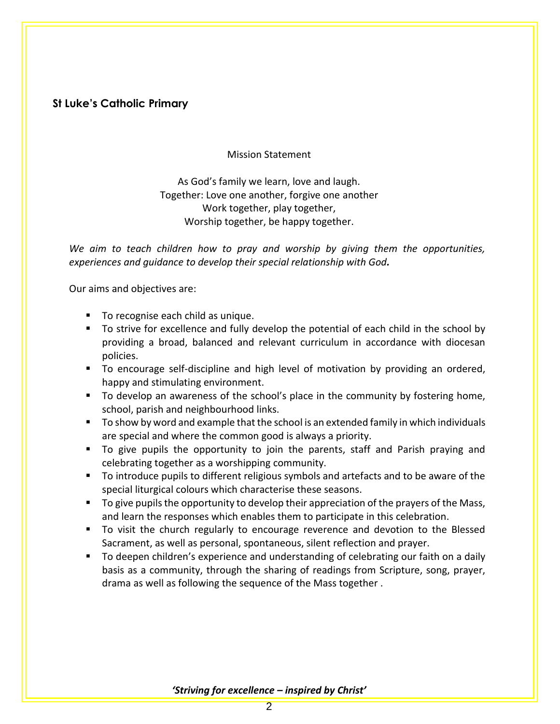#### **St Luke's Catholic Primary**

Mission Statement

As God's family we learn, love and laugh. Together: Love one another, forgive one another Work together, play together, Worship together, be happy together.

*We aim to teach children how to pray and worship by giving them the opportunities, experiences and guidance to develop their special relationship with God.*

Our aims and objectives are:

- To recognise each child as unique.
- To strive for excellence and fully develop the potential of each child in the school by providing a broad, balanced and relevant curriculum in accordance with diocesan policies.
- To encourage self-discipline and high level of motivation by providing an ordered, happy and stimulating environment.
- To develop an awareness of the school's place in the community by fostering home, school, parish and neighbourhood links.
- To show by word and example that the school is an extended family in which individuals are special and where the common good is always a priority.
- To give pupils the opportunity to join the parents, staff and Parish praying and celebrating together as a worshipping community.
- To introduce pupils to different religious symbols and artefacts and to be aware of the special liturgical colours which characterise these seasons.
- To give pupils the opportunity to develop their appreciation of the prayers of the Mass, and learn the responses which enables them to participate in this celebration.
- To visit the church regularly to encourage reverence and devotion to the Blessed Sacrament, as well as personal, spontaneous, silent reflection and prayer.
- To deepen children's experience and understanding of celebrating our faith on a daily basis as a community, through the sharing of readings from Scripture, song, prayer, drama as well as following the sequence of the Mass together .

*'Striving for excellence – inspired by Christ'*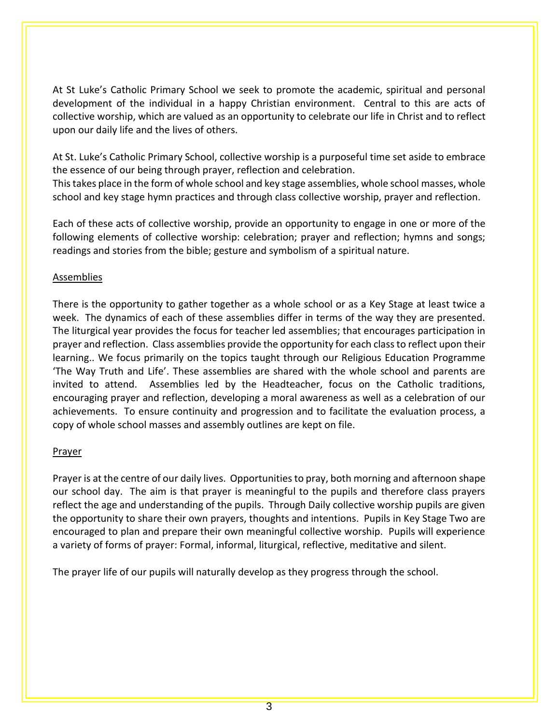At St Luke's Catholic Primary School we seek to promote the academic, spiritual and personal development of the individual in a happy Christian environment. Central to this are acts of collective worship, which are valued as an opportunity to celebrate our life in Christ and to reflect upon our daily life and the lives of others.

At St. Luke's Catholic Primary School, collective worship is a purposeful time set aside to embrace the essence of our being through prayer, reflection and celebration.

This takes place in the form of whole school and key stage assemblies, whole school masses, whole school and key stage hymn practices and through class collective worship, prayer and reflection.

Each of these acts of collective worship, provide an opportunity to engage in one or more of the following elements of collective worship: celebration; prayer and reflection; hymns and songs; readings and stories from the bible; gesture and symbolism of a spiritual nature.

#### Assemblies

There is the opportunity to gather together as a whole school or as a Key Stage at least twice a week. The dynamics of each of these assemblies differ in terms of the way they are presented. The liturgical year provides the focus for teacher led assemblies; that encourages participation in prayer and reflection. Class assemblies provide the opportunity for each class to reflect upon their learning.. We focus primarily on the topics taught through our Religious Education Programme 'The Way Truth and Life'. These assemblies are shared with the whole school and parents are invited to attend. Assemblies led by the Headteacher, focus on the Catholic traditions, encouraging prayer and reflection, developing a moral awareness as well as a celebration of our achievements. To ensure continuity and progression and to facilitate the evaluation process, a copy of whole school masses and assembly outlines are kept on file.

#### Prayer

Prayer is at the centre of our daily lives. Opportunities to pray, both morning and afternoon shape our school day. The aim is that prayer is meaningful to the pupils and therefore class prayers reflect the age and understanding of the pupils. Through Daily collective worship pupils are given the opportunity to share their own prayers, thoughts and intentions. Pupils in Key Stage Two are encouraged to plan and prepare their own meaningful collective worship. Pupils will experience a variety of forms of prayer: Formal, informal, liturgical, reflective, meditative and silent.

The prayer life of our pupils will naturally develop as they progress through the school.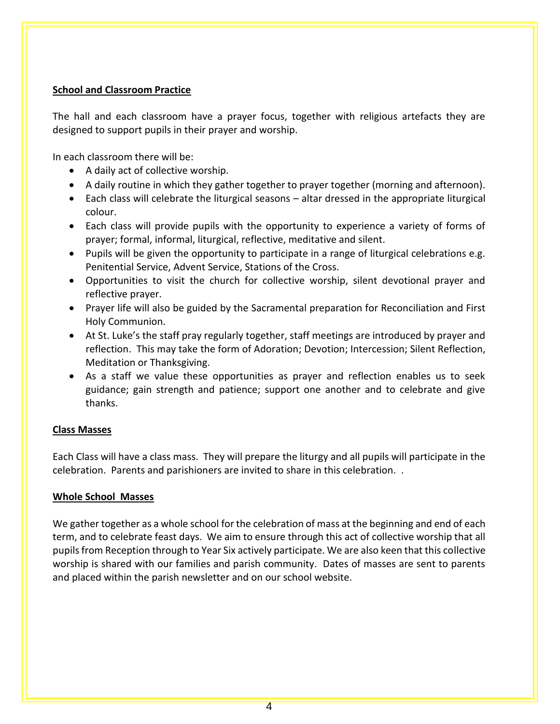#### **School and Classroom Practice**

The hall and each classroom have a prayer focus, together with religious artefacts they are designed to support pupils in their prayer and worship.

In each classroom there will be:

- A daily act of collective worship.
- A daily routine in which they gather together to prayer together (morning and afternoon).
- Each class will celebrate the liturgical seasons altar dressed in the appropriate liturgical colour.
- Each class will provide pupils with the opportunity to experience a variety of forms of prayer; formal, informal, liturgical, reflective, meditative and silent.
- Pupils will be given the opportunity to participate in a range of liturgical celebrations e.g. Penitential Service, Advent Service, Stations of the Cross.
- Opportunities to visit the church for collective worship, silent devotional prayer and reflective prayer.
- Prayer life will also be guided by the Sacramental preparation for Reconciliation and First Holy Communion.
- At St. Luke's the staff pray regularly together, staff meetings are introduced by prayer and reflection. This may take the form of Adoration; Devotion; Intercession; Silent Reflection, Meditation or Thanksgiving.
- As a staff we value these opportunities as prayer and reflection enables us to seek guidance; gain strength and patience; support one another and to celebrate and give thanks.

#### **Class Masses**

Each Class will have a class mass. They will prepare the liturgy and all pupils will participate in the celebration. Parents and parishioners are invited to share in this celebration. .

#### **Whole School Masses**

We gather together as a whole school for the celebration of mass at the beginning and end of each term, and to celebrate feast days. We aim to ensure through this act of collective worship that all pupils from Reception through to Year Six actively participate. We are also keen that this collective worship is shared with our families and parish community. Dates of masses are sent to parents and placed within the parish newsletter and on our school website.